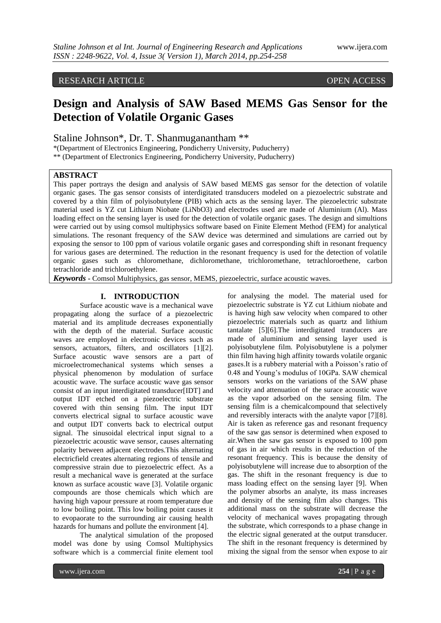# RESEARCH ARTICLE OPEN ACCESS

# **Design and Analysis of SAW Based MEMS Gas Sensor for the Detection of Volatile Organic Gases**

Staline Johnson\*, Dr. T. Shanmuganantham \*\*

\*(Department of Electronics Engineering, Pondicherry University, Puducherry)

\*\* (Department of Electronics Engineering, Pondicherry University, Puducherry)

# **ABSTRACT**

This paper portrays the design and analysis of SAW based MEMS gas sensor for the detection of volatile organic gases. The gas sensor consists of interdigitated transducers modeled on a piezoelectric substrate and covered by a thin film of polyisobutylene (PIB) which acts as the sensing layer. The piezoelectric substrate material used is YZ cut Lithium Niobate (LiNbO3) and electrodes used are made of Aluminium (Al). Mass loading effect on the sensing layer is used for the detection of volatile organic gases. The design and simultions were carried out by using comsol multiphysics software based on Finite Element Method (FEM) for analytical simulations. The resonant frequency of the SAW device was determined and simulations are carried out by exposing the sensor to 100 ppm of various volatile organic gases and corresponding shift in resonant frequency for various gases are determined. The reduction in the resonant frequency is used for the detection of volatile organic gases such as chloromethane, dichloromethane, trichloromethane, tetrachloroethene, carbon tetrachloride and trichloroethylene.

*Keywords* **-** Comsol Multiphysics, gas sensor, MEMS, piezoelectric, surface acoustic waves.

#### **I. INTRODUCTION**

Surface acoustic wave is a mechanical wave propagating along the surface of a piezoelectric material and its amplitude decreases exponentially with the depth of the material. Surface acoustic waves are employed in electronic devices such as sensors, actuators, filters, and oscillators [1][2]. Surface acoustic wave sensors are a part of microelectromechanical systems which senses a physical phenomenon by modulation of surface acoustic wave. The surface acoustic wave gas sensor consist of an input interdigitated transducer[IDT] and output IDT etched on a piezoelectric substrate covered with thin sensing film. The input IDT converts electrical signal to surface acoustic wave and output IDT converts back to electrical output signal. The sinusoidal electrical input signal to a piezoelectric acoustic wave sensor, causes alternating polarity between adjacent electrodes.This alternating electricfield creates alternating regions of tensile and compressive strain due to piezoelectric effect. As a result a mechanical wave is generated at the surface known as surface acoustic wave [3]. Volatile organic compounds are those chemicals which which are having high vapour pressure at room temperature due to low boiling point. This low boiling point causes it to evopaorate to the surrounding air causing health hazards for humans and pollute the environment [4].

The analytical simulation of the proposed model was done by using Comsol Multiphysics software which is a commercial finite element tool

for analysing the model. The material used for piezoelectric substrate is YZ cut Lithium niobate and is having high saw velocity when compared to other piezoelectric materials such as quartz and lithium tantalate [5][6].The interdigitated tranducers are made of aluminium and sensing layer used is polyisobutylene film. Polyisobutylene is a polymer thin film having high affinity towards volatile organic gases.It is a rubbery material with a Poisson's ratio of 0.48 and Young's modulus of 10GPa. SAW chemical sensors works on the variations of the SAW phase velocity and attenuation of the surace acoustic wave as the vapor adsorbed on the sensing film. The sensing film is a chemicalcompound that selectively and reversibly interacts with the analyte vapor [7][8]. Air is taken as reference gas and resonant frequency of the saw gas sensor is determined when exposed to air.When the saw gas sensor is exposed to 100 ppm of gas in air which results in the reduction of the resonant frequency. This is because the density of polyisobutylene will increase due to absorption of the gas. The shift in the resonant frequency is due to mass loading effect on the sensing layer [9]. When the polymer absorbs an analyte, its mass increases and density of the sensing film also changes. This additional mass on the substrate will decrease the velocity of mechanical waves propagating through the substrate, which corresponds to a phase change in the electric signal generated at the output transducer. The shift in the resonant frequency is determined by mixing the signal from the sensor when expose to air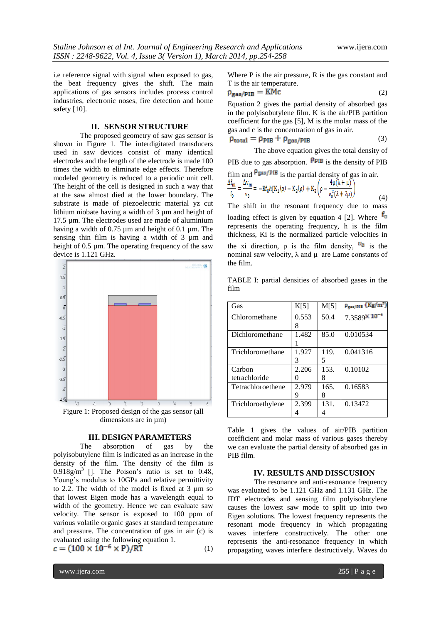i.e reference signal with signal when exposed to gas, the beat frequency gives the shift. The main applications of gas sensors includes process control industries, electronic noses, fire detection and home safety [10].

### **II. SENSOR STRUCTURE**

The proposed geometry of saw gas sensor is shown in Figure 1. The interdigitated transducers used in saw devices consist of many identical electrodes and the length of the electrode is made 100 times the width to eliminate edge effects. Therefore modeled geometry is reduced to a periodic unit cell. The height of the cell is designed in such a way that at the saw almost died at the lower boundary. The substrate is made of piezoelectric material yz cut lithium niobate having a width of 3 µm and height of 17.5 µm. The electrodes used are made of aluminium having a width of 0.75 µm and height of 0.1 µm. The sensing thin film is having a width of 3 µm and height of 0.5 µm. The operating frequency of the saw device is 1.121 GHz.



#### **III. DESIGN PARAMETERS**

The absorption of gas by the polyisobutylene film is indicated as an increase in the density of the film. The density of the film is  $0.918g/m<sup>3</sup>$  []. The Poison's ratio is set to 0.48, Young's modulus to 10GPa and relative permittivity to 2.2. The width of the model is fixed at 3 µm so that lowest Eigen mode has a wavelength equal to width of the geometry. Hence we can evaluate saw velocity. The sensor is exposed to 100 ppm of various volatile organic gases at standard temperature and pressure. The concentration of gas in air (c) is evaluated using the following equation 1.<br>  $c = (100 \times 10^{-6} \times P)/RT$ 

(1)

Where P is the air pressure, R is the gas constant and T is the air temperature.

$$
\rho_{\text{gas}/\text{PIB}} = \text{KMc} \tag{2}
$$

Equation 2 gives the partial density of absorbed gas in the polyisobutylene film. K is the air/PIB partition coefficient for the gas [5], M is the molar mass of the gas and c is the concentration of gas in air.

$$
\rho_{\text{total}} = \rho_{\text{PIB}} + \rho_{\text{gas/PIB}} \tag{3}
$$

The above equation gives the total density of PIB due to gas absorption.  $\frac{\rho_{PIB}}{\rho}$  is the density of PIB film and  $\frac{\beta_{\text{gas}}}{f_0}$  is the partial density of gas in air.<br>  $\frac{\Delta f_m}{f_0} = \frac{\Delta v_m}{v_0} = -\text{K}f_0 h[\text{K}_1(\rho) + \text{K}_2(\rho) + \text{K}_3\left(\rho - \frac{4\mu(\lambda + \mu)}{v_0^2(\lambda + 2\mu)}\right)$ (4)

The shift in the resonant frequency due to mass loading effect is given by equation 4 [2]. Where  $f_0$ represents the operating frequency, h is the film thickness, Ki is the normalized particle velocities in the xi direction,  $\rho$  is the film density,  $v_0$  is the nominal saw velocity,  $λ$  and  $μ$  are Lame constants of the film.

TABLE I: partial densities of absorbed gases in the film

| Gas               | K[5]  | M[5] | $\rho_{\rm gas/MB}$ (Kg/m <sup>2</sup> ) |
|-------------------|-------|------|------------------------------------------|
| Chloromethane     | 0.553 | 50.4 | $7.3589 \times 10^{-4}$                  |
|                   | 8     |      |                                          |
| Dichloromethane   | 1.482 | 85.0 | 0.010534                                 |
|                   |       |      |                                          |
| Trichloromethane  | 1.927 | 119. | 0.041316                                 |
|                   | 3     | 5    |                                          |
| Carbon            | 2.206 | 153. | 0.10102                                  |
| tetrachloride     |       | 8    |                                          |
| Tetrachloroethene | 2.979 | 165. | 0.16583                                  |
|                   | 9     | 8    |                                          |
| Trichloroethylene | 2.399 | 131. | 0.13472                                  |
|                   |       |      |                                          |

Table 1 gives the values of air/PIB partition coefficient and molar mass of various gases thereby we can evaluate the partial density of absorbed gas in PIB film.

#### **IV. RESULTS AND DISSCUSION**

The resonance and anti-resonance frequency was evaluated to be 1.121 GHz and 1.131 GHz. The IDT electrodes and sensing film polyisobutylene causes the lowest saw mode to split up into two Eigen solutions. The lowest frequency represents the resonant mode frequency in which propagating waves interfere constructively. The other one represents the anti-resonance frequency in which propagating waves interfere destructively. Waves do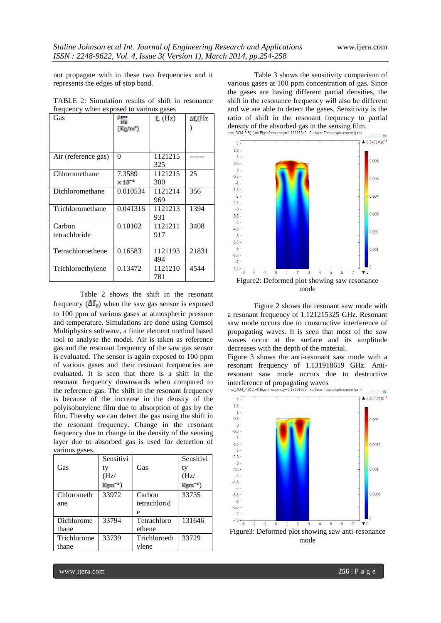not propagate with in these two frequencies and it represents the edges of stop band.

| Gas                 | ᅋ                         | f(x)    | $\Delta f$ <sub>r</sub> (Hz |
|---------------------|---------------------------|---------|-----------------------------|
|                     | $(Kg/m^2)$                |         |                             |
|                     |                           |         |                             |
|                     |                           |         |                             |
| Air (reference gas) | $\theta$                  | 1121215 |                             |
|                     |                           | 325     |                             |
| Chloromethane       | 7.3589                    | 1121215 | 25                          |
|                     | $\times$ 10 <sup>-4</sup> | 300     |                             |
| Dichloromethane     | 0.010534                  | 1121214 | 356                         |
|                     |                           | 969     |                             |
| Trichloromethane    | 0.041316                  | 1121213 | 1394                        |
|                     |                           | 931     |                             |
| Carbon              | 0.10102                   | 1121211 | 3408                        |
| tetrachloride       |                           | 917     |                             |
|                     |                           |         |                             |
| Tetrachloroethene   | 0.16583                   | 1121193 | 21831                       |
|                     |                           | 494     |                             |
| Trichloroethylene   | 0.13472                   | 1121210 | 4544                        |
|                     |                           | 781     |                             |

TABLE 2: Simulation results of shift in resonance frequency when exposed to various gases

Table 2 shows the shift in the resonant frequency  $(\Delta f_r)$  when the saw gas sensor is exposed to 100 ppm of various gases at atmospheric pressure and temperature. Simulations are done using Comsol Multiphysics software, a finite element method based tool to analyse the model. Air is taken as reference gas and the resonant frequency of the saw gas sensor is evaluated. The sensor is again exposed to 100 ppm of various gases and their resonant frequencies are evaluated. It is seen that there is a shift in the resonant frequency downwards when compared to the reference gas. The shift in the resonant frequency is because of the increase in the density of the polyisobutylene film due to absorption of gas by the film. Thereby we can detect the gas using the shift in the resonant frequency. Change in the resonant frequency due to change in the density of the sensing layer due to absorbed gas is used for detection of various gases.

|             | Sensitivi    |              | Sensitivi    |
|-------------|--------------|--------------|--------------|
| Gas         | ty           | Gas          | ty           |
|             | (Hz)         |              | (Hz)         |
|             | $Kgm^{-2}$ ) |              | $Kgm^{-2}$ ) |
| Chlorometh  | 33972        | Carbon       | 33735        |
| ane         |              | tetrachlorid |              |
|             |              | e            |              |
| Dichlorome  | 33794        | Tetrachloro  | 131646       |
| thane       |              | ethene       |              |
| Trichlorome | 33739        | Trichloroeth | 33729        |
| thane       |              | ylene        |              |

Table 3 shows the sensitivity comparison of various gases at 100 ppm concentration of gas. Since the gases are having different partial densities, the shift in the resonance frequency will also be different and we are able to detect the gases. Sensitivity is the ratio of shift in the resonant frequency to partial density of the absorbed gas in the sensing film.<br>the DCM  $PIB(1)=0$  Eigenfrequency=1.121215e9 Surface: Total displacement (µm)



Figure 2 shows the resonant saw mode with a resonant frequency of 1.121215325 GHz. Resonant saw mode occurs due to constructive interference of propagating waves. It is seen that most of the saw waves occur at the surface and its amplitude decreases with the depth of the material.

Figure 3 shows the anti-resonant saw mode with a resonant frequency of 1.131918619 GHz. Antiresonant saw mode occurs due to destructive interference of propagating waves<br>rho\_DCM\_PIB(1)=0 Eigenfrequency=1.131919e9 Surface: Total displacement (um)

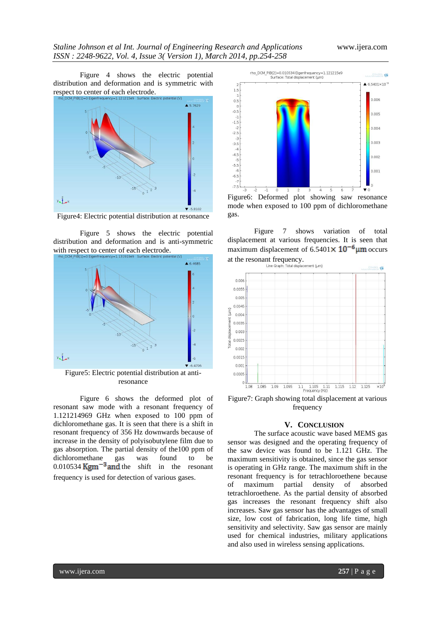## *Staline Johnson et al Int. Journal of Engineering Research and Applications* www.ijera.com *ISSN : 2248-9622, Vol. 4, Issue 3( Version 1), March 2014, pp.254-258*

Figure 4 shows the electric potential distribution and deformation and is symmetric with respect to center of each electrode.



Figure4: Electric potential distribution at resonance

Figure 5 shows the electric potential distribution and deformation and is anti-symmetric with respect to center of each electrode.



Figure5: Electric potential distribution at antiresonance

Figure 6 shows the deformed plot of resonant saw mode with a resonant frequency of 1.121214969 GHz when exposed to 100 ppm of dichloromethane gas. It is seen that there is a shift in resonant frequency of 356 Hz downwards because of increase in the density of polyisobutylene film due to gas absorption. The partial density of the100 ppm of dichloromethane gas was found to be  $0.010534$  Kgm<sup>-3</sup> and the shift in the resonant frequency is used for detection of various gases.



Figure6: Deformed plot showing saw resonance mode when exposed to 100 ppm of dichloromethane gas.

Figure 7 shows variation of total displacement at various frequencies. It is seen that maximum displacement of  $6.5401 \times 10^{-6}$  µm occurs



Figure7: Graph showing total displacement at various frequency

#### **V. CONCLUSION**

The surface acoustic wave based MEMS gas sensor was designed and the operating frequency of the saw device was found to be 1.121 GHz. The maximum sensitivity is obtained, since the gas sensor is operating in GHz range. The maximum shift in the resonant frequency is for tetrachloroethene because of maximum partial density of absorbed tetrachloroethene. As the partial density of absorbed gas increases the resonant frequency shift also increases. Saw gas sensor has the advantages of small size, low cost of fabrication, long life time, high sensitivity and selectivity. Saw gas sensor are mainly used for chemical industries, military applications and also used in wireless sensing applications.